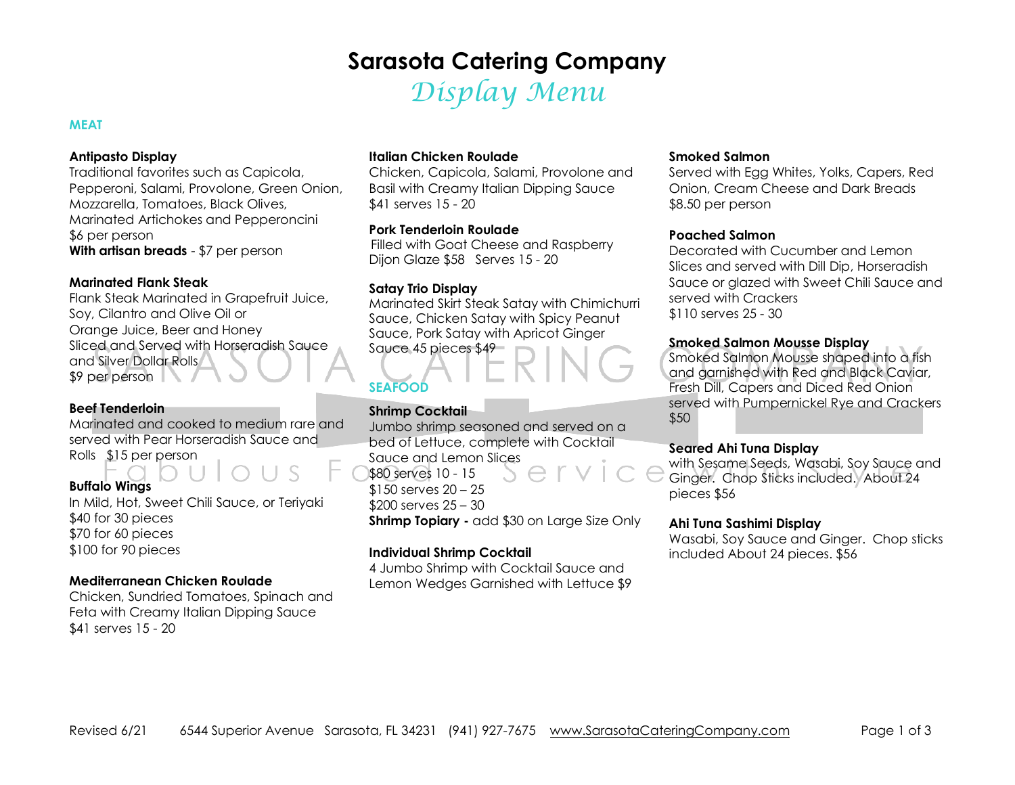# **Sarasota Catering Company**

Display Menu

### **MEAT**

#### **Antipasto Display**

 Traditional favorites such as Capicola, Pepperoni, Salami, Provolone, Green Onion, Mozzarella, Tomatoes, Black Olives, Marinated Artichokes and Pepperoncini \$6 per person **With artisan breads** - \$7 per person

#### **Marinated Flank Steak**

 Flank Steak Marinated in Grapefruit Juice, Soy, Cilantro and Olive Oil or Orange Juice, Beer and Honey Sliced and Served with Horseradish Sauce and Silver Dollar Rolls \$9 per person

#### **Beef Tenderloin**

 Marinated and cooked to medium rare and served with Pear Horseradish Sauce and Rolls \$15 per person

# **Buffalo Wings**

 In Mild, Hot, Sweet Chili Sauce, or Teriyaki \$40 for 30 pieces \$70 for 60 pieces \$100 for 90 pieces

# **Mediterranean Chicken Roulade**

 Chicken, Sundried Tomatoes, Spinach and Feta with Creamy Italian Dipping Sauce \$41 serves 15 - 20

#### **Italian Chicken Roulade**

Chicken, Capicola, Salami, Provolone and Basil with Creamy Italian Dipping Sauce \$41 serves 15 - 20

# **Pork Tenderloin Roulade**

 Filled with Goat Cheese and Raspberry Dijon Glaze \$58 Serves 15 - 20

### **Satay Trio Display**

 Marinated Skirt Steak Satay with Chimichurri Sauce, Chicken Satay with Spicy Peanut Sauce, Pork Satay with Apricot Ginger Sauce 45 pieces \$49

# **SEAFOOD**

# **Shrimp Cocktail**

 Jumbo shrimp seasoned and served on a bed of Lettuce, complete with Cocktail Sauce and Lemon Slices \$80 serves 10 - 15 \$150 serves 20 – 25 \$200 serves 25 – 30 **Shrimp Topiary -** add \$30 on Large Size Only

# **Individual Shrimp Cocktail**

 4 Jumbo Shrimp with Cocktail Sauce and Lemon Wedges Garnished with Lettuce \$9

### **Smoked Salmon**

 Served with Egg Whites, Yolks, Capers, Red Onion, Cream Cheese and Dark Breads \$8.50 per person

#### **Poached Salmon**

 Decorated with Cucumber and Lemon Slices and served with Dill Dip, Horseradish Sauce or glazed with Sweet Chili Sauce and served with Crackers \$110 serves 25 - 30

### **Smoked Salmon Mousse Display**

 Smoked Salmon Mousse shaped into a fish and garnished with Red and Black Caviar, Fresh Dill, Capers and Diced Red Onion served with Pumpernickel Rye and Crackers \$50

### **Seared Ahi Tuna Display**

 with Sesame Seeds, Wasabi, Soy Sauce and Ginger. Chop Sticks included. About 24 pieces \$56

### **Ahi Tuna Sashimi Display**

 Wasabi, Soy Sauce and Ginger. Chop sticks included About 24 pieces. \$56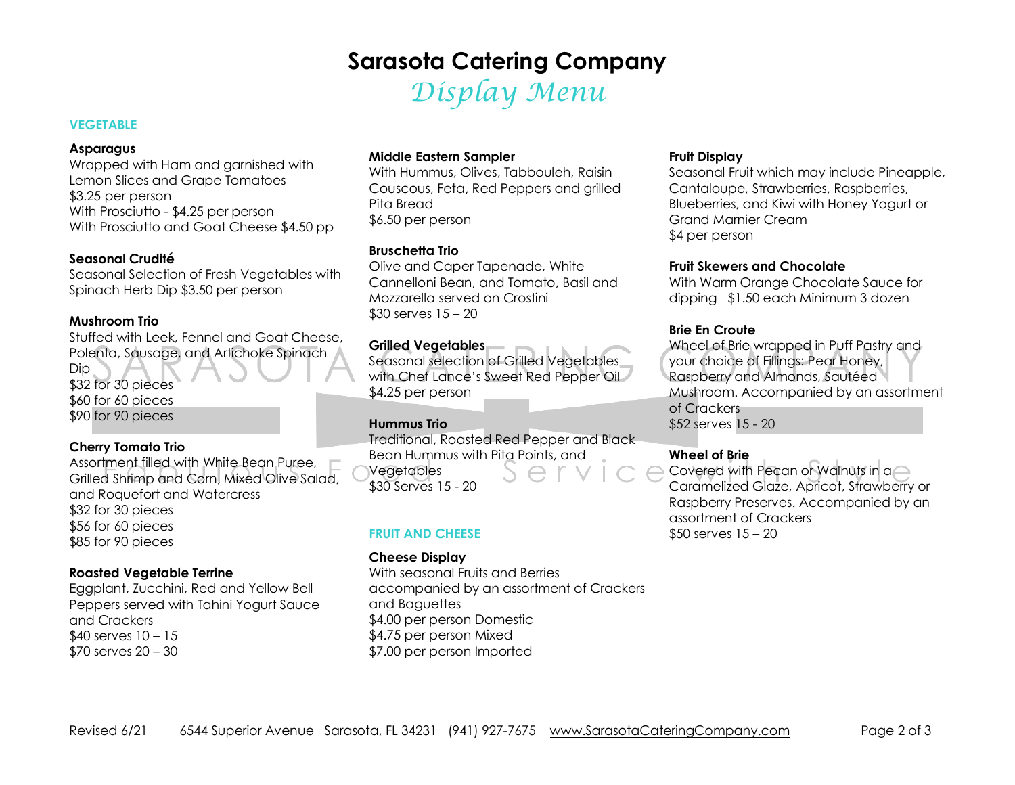# **Sarasota Catering Company**

Display Menu

# **VEGETABLE**

#### **Asparagus**

 Wrapped with Ham and garnished with Lemon Slices and Grape Tomatoes \$3.25 per person With Prosciutto - \$4.25 per person With Prosciutto and Goat Cheese \$4.50 pp

# **Seasonal Crudité**

 Seasonal Selection of Fresh Vegetables with Spinach Herb Dip \$3.50 per person

# **Mushroom Trio**

 Stuffed with Leek, Fennel and Goat Cheese, Polenta, Sausage, and Artichoke Spinach Dip \$32 for 30 pieces \$60 for 60 pieces \$90 for 90 pieces

# **Cherry Tomato Trio**

 Assortment filled with White Bean Puree, Grilled Shrimp and Corn, Mixed Olive Salad, and Roquefort and Watercress \$32 for 30 pieces \$56 for 60 pieces \$85 for 90 pieces

# **Roasted Vegetable Terrine**

 Eggplant, Zucchini, Red and Yellow Bell Peppers served with Tahini Yogurt Sauce and Crackers \$40 serves 10 – 15 \$70 serves 20 – 30

# **Middle Eastern Sampler**

 With Hummus, Olives, Tabbouleh, Raisin Couscous, Feta, Red Peppers and grilled Pita Bread \$6.50 per person

# **Bruschetta Trio**

 Olive and Caper Tapenade, White Cannelloni Bean, and Tomato, Basil and Mozzarella served on Crostini \$30 serves 15 – 20

# **Grilled Vegetables**

 Seasonal selection of Grilled Vegetables with Chef Lance's Sweet Red Pepper Oil \$4.25 per person

# **Hummus Trio**

 Traditional, Roasted Red Pepper and Black Bean Hummus with Pita Points, and Vegetables \$30 Serves 15 - 20

# **FRUIT AND CHEESE**

# **Cheese Display**

 With seasonal Fruits and Berries accompanied by an assortment of Crackers and Baguettes \$4.00 per person Domestic \$4.75 per person Mixed \$7.00 per person Imported

# **Fruit Display**

 Seasonal Fruit which may include Pineapple, Cantaloupe, Strawberries, Raspberries, Blueberries, and Kiwi with Honey Yogurt or Grand Marnier Cream \$4 per person

# **Fruit Skewers and Chocolate**

 With Warm Orange Chocolate Sauce for dipping \$1.50 each Minimum 3 dozen

# **Brie En Croute**

 Wheel of Brie wrapped in Puff Pastry and your choice of Fillings: Pear Honey, Raspberry and Almonds, Sautéed Mushroom. Accompanied by an assortment of Crackers \$52 serves 15 - 20

# **Wheel of Brie**

 Covered with Pecan or Walnuts in a Caramelized Glaze, Apricot, Strawberry or Raspberry Preserves. Accompanied by an assortment of Crackers \$50 serves 15 – 20